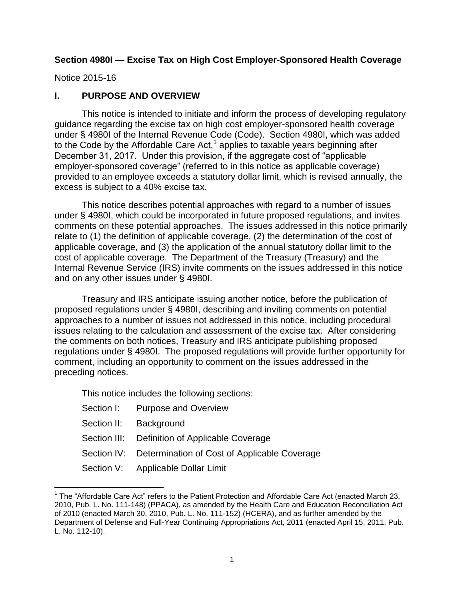#### **Section 4980I — Excise Tax on High Cost Employer-Sponsored Health Coverage**

Notice 2015-16

 $\overline{a}$ 

### **I. PURPOSE AND OVERVIEW**

This notice is intended to initiate and inform the process of developing regulatory guidance regarding the excise tax on high cost employer-sponsored health coverage under § 4980I of the Internal Revenue Code (Code). Section 4980I, which was added to the Code by the Affordable Care Act,<sup>1</sup> applies to taxable years beginning after December 31, 2017. Under this provision, if the aggregate cost of "applicable employer-sponsored coverage" (referred to in this notice as applicable coverage) provided to an employee exceeds a statutory dollar limit, which is revised annually, the excess is subject to a 40% excise tax.

This notice describes potential approaches with regard to a number of issues under § 4980I, which could be incorporated in future proposed regulations, and invites comments on these potential approaches. The issues addressed in this notice primarily relate to (1) the definition of applicable coverage, (2) the determination of the cost of applicable coverage, and (3) the application of the annual statutory dollar limit to the cost of applicable coverage. The Department of the Treasury (Treasury) and the Internal Revenue Service (IRS) invite comments on the issues addressed in this notice and on any other issues under § 4980I.

Treasury and IRS anticipate issuing another notice, before the publication of proposed regulations under § 4980I, describing and inviting comments on potential approaches to a number of issues not addressed in this notice, including procedural issues relating to the calculation and assessment of the excise tax. After considering the comments on both notices, Treasury and IRS anticipate publishing proposed regulations under § 4980I. The proposed regulations will provide further opportunity for comment, including an opportunity to comment on the issues addressed in the preceding notices.

This notice includes the following sections:

| Section I: Purpose and Overview                          |
|----------------------------------------------------------|
| Section II: Background                                   |
| Section III: Definition of Applicable Coverage           |
| Section IV: Determination of Cost of Applicable Coverage |
| Section V: Applicable Dollar Limit                       |

<sup>&</sup>lt;sup>1</sup> The "Affordable Care Act" refers to the Patient Protection and Affordable Care Act (enacted March 23, 2010, Pub. L. No. 111-148) (PPACA), as amended by the Health Care and Education Reconciliation Act of 2010 (enacted March 30, 2010, Pub. L. No. 111-152) (HCERA), and as further amended by the Department of Defense and Full-Year Continuing Appropriations Act, 2011 (enacted April 15, 2011, Pub. L. No. 112-10).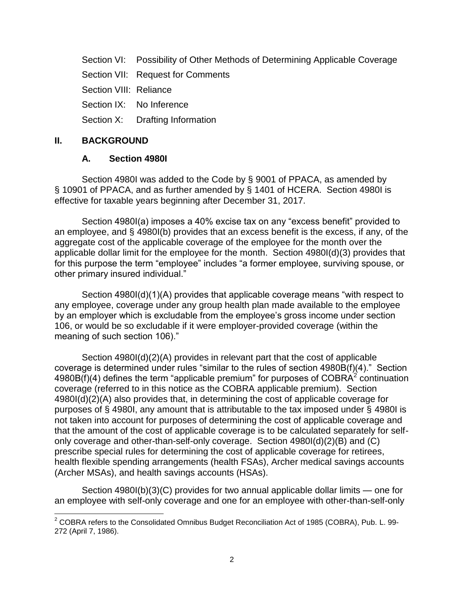Section VI: Possibility of Other Methods of Determining Applicable Coverage

Section VII: Request for Comments

Section VIII: Reliance

Section IX: No Inference

Section X: Drafting Information

#### **II. BACKGROUND**

#### **A. Section 4980I**

Section 4980I was added to the Code by § 9001 of PPACA, as amended by § 10901 of PPACA, and as further amended by § 1401 of HCERA. Section 4980I is effective for taxable years beginning after December 31, 2017.

Section 4980I(a) imposes a 40% excise tax on any "excess benefit" provided to an employee, and § 4980I(b) provides that an excess benefit is the excess, if any, of the aggregate cost of the applicable coverage of the employee for the month over the applicable dollar limit for the employee for the month. Section 4980I(d)(3) provides that for this purpose the term "employee" includes "a former employee, surviving spouse, or other primary insured individual."

Section 4980I(d)(1)(A) provides that applicable coverage means "with respect to any employee, coverage under any group health plan made available to the employee by an employer which is excludable from the employee's gross income under section 106, or would be so excludable if it were employer-provided coverage (within the meaning of such section 106)."

Section 4980I(d)(2)(A) provides in relevant part that the cost of applicable coverage is determined under rules "similar to the rules of section 4980B(f)(4)." Section 4980B(f)(4) defines the term "applicable premium" for purposes of COBRA $^{2}$  continuation coverage (referred to in this notice as the COBRA applicable premium). Section 4980I(d)(2)(A) also provides that, in determining the cost of applicable coverage for purposes of § 4980I, any amount that is attributable to the tax imposed under § 4980I is not taken into account for purposes of determining the cost of applicable coverage and that the amount of the cost of applicable coverage is to be calculated separately for selfonly coverage and other-than-self-only coverage. Section 4980I(d)(2)(B) and (C) prescribe special rules for determining the cost of applicable coverage for retirees, health flexible spending arrangements (health FSAs), Archer medical savings accounts (Archer MSAs), and health savings accounts (HSAs).

Section 4980I(b)(3)(C) provides for two annual applicable dollar limits — one for an employee with self-only coverage and one for an employee with other-than-self-only

l  $2$  COBRA refers to the Consolidated Omnibus Budget Reconciliation Act of 1985 (COBRA), Pub. L. 99-272 (April 7, 1986).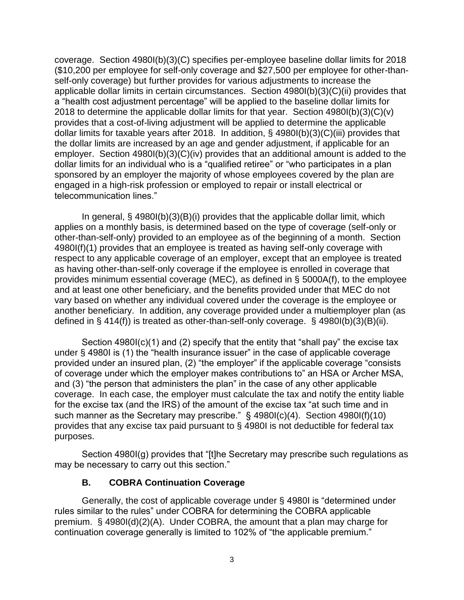coverage. Section 4980I(b)(3)(C) specifies per-employee baseline dollar limits for 2018 (\$10,200 per employee for self-only coverage and \$27,500 per employee for other-thanself-only coverage) but further provides for various adjustments to increase the applicable dollar limits in certain circumstances. Section 4980I(b)(3)(C)(ii) provides that a "health cost adjustment percentage" will be applied to the baseline dollar limits for 2018 to determine the applicable dollar limits for that year. Section 4980I(b)(3)(C)(v) provides that a cost-of-living adjustment will be applied to determine the applicable dollar limits for taxable years after 2018. In addition, § 4980I(b)(3)(C)(iii) provides that the dollar limits are increased by an age and gender adjustment, if applicable for an employer. Section 4980I(b)(3)(C)(iv) provides that an additional amount is added to the dollar limits for an individual who is a "qualified retiree" or "who participates in a plan sponsored by an employer the majority of whose employees covered by the plan are engaged in a high-risk profession or employed to repair or install electrical or telecommunication lines."

In general, § 4980I(b)(3)(B)(i) provides that the applicable dollar limit, which applies on a monthly basis, is determined based on the type of coverage (self-only or other-than-self-only) provided to an employee as of the beginning of a month. Section 4980I(f)(1) provides that an employee is treated as having self-only coverage with respect to any applicable coverage of an employer, except that an employee is treated as having other-than-self-only coverage if the employee is enrolled in coverage that provides minimum essential coverage (MEC), as defined in § 5000A(f), to the employee and at least one other beneficiary, and the benefits provided under that MEC do not vary based on whether any individual covered under the coverage is the employee or another beneficiary. In addition, any coverage provided under a multiemployer plan (as defined in § 414(f)) is treated as other-than-self-only coverage. § 4980I(b)(3)(B)(ii).

Section 4980I(c)(1) and (2) specify that the entity that "shall pay" the excise tax under § 4980I is (1) the "health insurance issuer" in the case of applicable coverage provided under an insured plan, (2) "the employer" if the applicable coverage "consists of coverage under which the employer makes contributions to" an HSA or Archer MSA, and (3) "the person that administers the plan" in the case of any other applicable coverage. In each case, the employer must calculate the tax and notify the entity liable for the excise tax (and the IRS) of the amount of the excise tax "at such time and in such manner as the Secretary may prescribe." § 4980I(c)(4). Section 4980I(f)(10) provides that any excise tax paid pursuant to § 4980I is not deductible for federal tax purposes.

Section 4980I(g) provides that "[t]he Secretary may prescribe such regulations as may be necessary to carry out this section."

### **B. COBRA Continuation Coverage**

Generally, the cost of applicable coverage under § 4980I is "determined under rules similar to the rules" under COBRA for determining the COBRA applicable premium. § 4980I(d)(2)(A). Under COBRA, the amount that a plan may charge for continuation coverage generally is limited to 102% of "the applicable premium."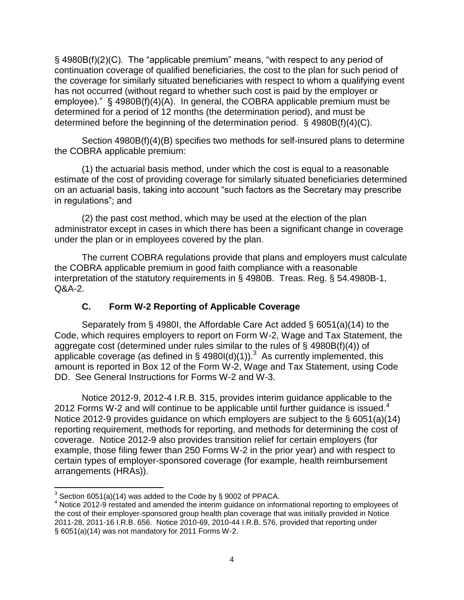§ 4980B(f)(2)(C). The "applicable premium" means, "with respect to any period of continuation coverage of qualified beneficiaries, the cost to the plan for such period of the coverage for similarly situated beneficiaries with respect to whom a qualifying event has not occurred (without regard to whether such cost is paid by the employer or employee)." § 4980B(f)(4)(A). In general, the COBRA applicable premium must be determined for a period of 12 months (the determination period), and must be determined before the beginning of the determination period. § 4980B(f)(4)(C).

Section 4980B(f)(4)(B) specifies two methods for self-insured plans to determine the COBRA applicable premium:

(1) the actuarial basis method, under which the cost is equal to a reasonable estimate of the cost of providing coverage for similarly situated beneficiaries determined on an actuarial basis, taking into account "such factors as the Secretary may prescribe in regulations"; and

(2) the past cost method, which may be used at the election of the plan administrator except in cases in which there has been a significant change in coverage under the plan or in employees covered by the plan.

The current COBRA regulations provide that plans and employers must calculate the COBRA applicable premium in good faith compliance with a reasonable interpretation of the statutory requirements in § 4980B. Treas. Reg. § 54.4980B-1, Q&A-2.

### **C. Form W-2 Reporting of Applicable Coverage**

Separately from § 4980I, the Affordable Care Act added § 6051(a)(14) to the Code, which requires employers to report on Form W-2, Wage and Tax Statement, the aggregate cost (determined under rules similar to the rules of § 4980B(f)(4)) of applicable coverage (as defined in § 4980I(d)(1)).<sup>3</sup> As currently implemented, this amount is reported in Box 12 of the Form W-2, Wage and Tax Statement, using Code DD. See General Instructions for Forms W-2 and W-3.

Notice 2012-9, 2012-4 I.R.B. 315, provides interim guidance applicable to the 2012 Forms W-2 and will continue to be applicable until further guidance is issued.<sup>4</sup> Notice 2012-9 provides guidance on which employers are subject to the § 6051(a)(14) reporting requirement, methods for reporting, and methods for determining the cost of coverage. Notice 2012-9 also provides transition relief for certain employers (for example, those filing fewer than 250 Forms W-2 in the prior year) and with respect to certain types of employer-sponsored coverage (for example, health reimbursement arrangements (HRAs)).

 $\overline{a}$  $3$  Section 6051(a)(14) was added to the Code by § 9002 of PPACA.

<sup>&</sup>lt;sup>4</sup> Notice 2012-9 restated and amended the interim guidance on informational reporting to employees of the cost of their employer-sponsored group health plan coverage that was initially provided in Notice 2011-28, 2011-16 I.R.B. 656. Notice 2010-69, 2010-44 I.R.B. 576, provided that reporting under § 6051(a)(14) was not mandatory for 2011 Forms W-2.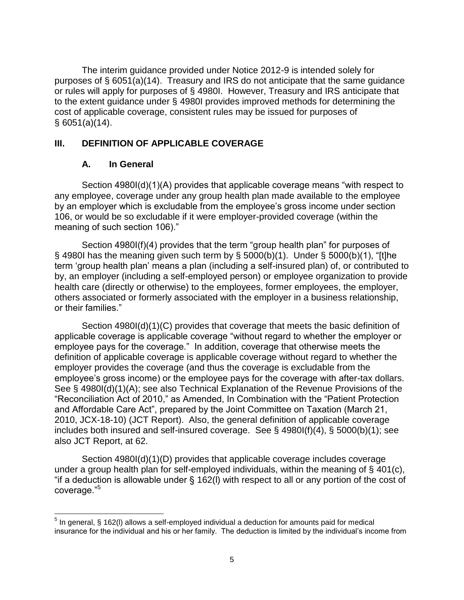The interim guidance provided under Notice 2012-9 is intended solely for purposes of § 6051(a)(14). Treasury and IRS do not anticipate that the same guidance or rules will apply for purposes of § 4980I. However, Treasury and IRS anticipate that to the extent guidance under § 4980I provides improved methods for determining the cost of applicable coverage, consistent rules may be issued for purposes of § 6051(a)(14).

### **III. DEFINITION OF APPLICABLE COVERAGE**

#### **A. In General**

Section 4980I(d)(1)(A) provides that applicable coverage means "with respect to any employee, coverage under any group health plan made available to the employee by an employer which is excludable from the employee's gross income under section 106, or would be so excludable if it were employer-provided coverage (within the meaning of such section 106)."

Section 4980I(f)(4) provides that the term "group health plan" for purposes of  $\S$  4980I has the meaning given such term by  $\S$  5000(b)(1). Under  $\S$  5000(b)(1), "[t]he term 'group health plan' means a plan (including a self-insured plan) of, or contributed to by, an employer (including a self-employed person) or employee organization to provide health care (directly or otherwise) to the employees, former employees, the employer, others associated or formerly associated with the employer in a business relationship, or their families."

Section 4980I(d)(1)(C) provides that coverage that meets the basic definition of applicable coverage is applicable coverage "without regard to whether the employer or employee pays for the coverage." In addition, coverage that otherwise meets the definition of applicable coverage is applicable coverage without regard to whether the employer provides the coverage (and thus the coverage is excludable from the employee's gross income) or the employee pays for the coverage with after-tax dollars. See § 4980I(d)(1)(A); see also Technical Explanation of the Revenue Provisions of the "Reconciliation Act of 2010," as Amended, In Combination with the "Patient Protection and Affordable Care Act", prepared by the Joint Committee on Taxation (March 21, 2010, JCX-18-10) (JCT Report). Also, the general definition of applicable coverage includes both insured and self-insured coverage. See § 4980I(f)(4), § 5000(b)(1); see also JCT Report, at 62.

Section 4980I(d)(1)(D) provides that applicable coverage includes coverage under a group health plan for self-employed individuals, within the meaning of § 401(c), "if a deduction is allowable under § 162(l) with respect to all or any portion of the cost of coverage."<sup>5</sup>

l  $<sup>5</sup>$  In general, § 162(I) allows a self-employed individual a deduction for amounts paid for medical</sup> insurance for the individual and his or her family. The deduction is limited by the individual's income from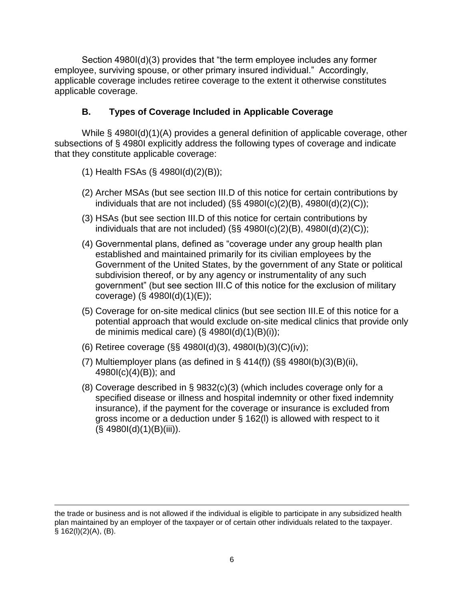Section 4980I(d)(3) provides that "the term employee includes any former employee, surviving spouse, or other primary insured individual." Accordingly, applicable coverage includes retiree coverage to the extent it otherwise constitutes applicable coverage.

### **B. Types of Coverage Included in Applicable Coverage**

While § 4980I(d)(1)(A) provides a general definition of applicable coverage, other subsections of § 4980I explicitly address the following types of coverage and indicate that they constitute applicable coverage:

- (1) Health FSAs (§ 4980I(d)(2)(B));
- (2) Archer MSAs (but see section III.D of this notice for certain contributions by individuals that are not included)  $(\S\S 4980I(c)(2)(B), 4980I(d)(2)(C));$
- (3) HSAs (but see section III.D of this notice for certain contributions by individuals that are not included) ( $\S$ § 4980I(c)(2)(B), 4980I(d)(2)(C));
- (4) Governmental plans, defined as "coverage under any group health plan established and maintained primarily for its civilian employees by the Government of the United States, by the government of any State or political subdivision thereof, or by any agency or instrumentality of any such government" (but see section III.C of this notice for the exclusion of military coverage) (§ 4980I(d)(1)(E));
- (5) Coverage for on-site medical clinics (but see section III.E of this notice for a potential approach that would exclude on-site medical clinics that provide only de minimis medical care)  $(\S$  4980l(d)(1)(B)(i));
- (6) Retiree coverage (§§ 4980I(d)(3), 4980I(b)(3)(C)(iv));
- (7) Multiemployer plans (as defined in  $\S$  414(f)) ( $\S$ § 4980I(b)(3)(B)(ii), 4980I(c)(4)(B)); and
- (8) Coverage described in § 9832(c)(3) (which includes coverage only for a specified disease or illness and hospital indemnity or other fixed indemnity insurance), if the payment for the coverage or insurance is excluded from gross income or a deduction under § 162(l) is allowed with respect to it  $(S, 4980I(d)(1)(B(iii))$ .

 $\overline{\phantom{a}}$ the trade or business and is not allowed if the individual is eligible to participate in any subsidized health plan maintained by an employer of the taxpayer or of certain other individuals related to the taxpayer.  $§ 162(I)(2)(A), (B).$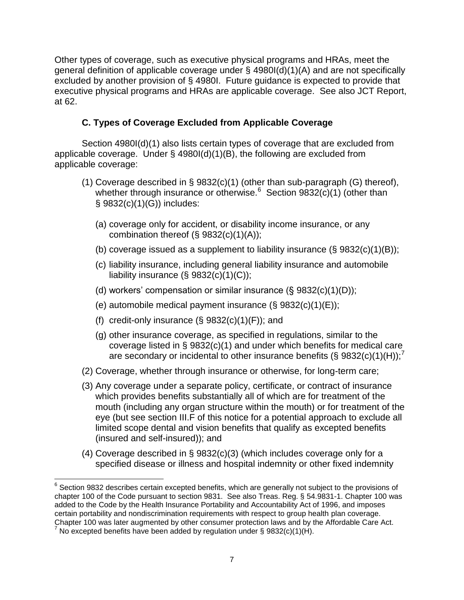Other types of coverage, such as executive physical programs and HRAs, meet the general definition of applicable coverage under § 4980I(d)(1)(A) and are not specifically excluded by another provision of § 4980I. Future guidance is expected to provide that executive physical programs and HRAs are applicable coverage. See also JCT Report, at 62.

### **C. Types of Coverage Excluded from Applicable Coverage**

Section 4980I(d)(1) also lists certain types of coverage that are excluded from applicable coverage. Under § 4980I(d)(1)(B), the following are excluded from applicable coverage:

- (1) Coverage described in § 9832(c)(1) (other than sub-paragraph (G) thereof), whether through insurance or otherwise.<sup>6</sup> Section 9832(c)(1) (other than § 9832(c)(1)(G)) includes:
	- (a) coverage only for accident, or disability income insurance, or any combination thereof (§ 9832(c)(1)(A));
	- (b) coverage issued as a supplement to liability insurance  $(\S$  9832(c)(1)(B));
	- (c) liability insurance, including general liability insurance and automobile liability insurance  $(\S$  9832(c)(1)(C));
	- (d) workers' compensation or similar insurance (§ 9832(c)(1)(D));
	- (e) automobile medical payment insurance  $(\S$  9832(c)(1)(E));
	- (f) credit-only insurance  $(\S$  9832(c)(1)(F)); and
	- (g) other insurance coverage, as specified in regulations, similar to the coverage listed in § 9832(c)(1) and under which benefits for medical care are secondary or incidental to other insurance benefits (§ 9832(c)(1)(H));<sup>7</sup>
- (2) Coverage, whether through insurance or otherwise, for long-term care;
- (3) Any coverage under a separate policy, certificate, or contract of insurance which provides benefits substantially all of which are for treatment of the mouth (including any organ structure within the mouth) or for treatment of the eye (but see section III.F of this notice for a potential approach to exclude all limited scope dental and vision benefits that qualify as excepted benefits (insured and self-insured)); and
- (4) Coverage described in § 9832(c)(3) (which includes coverage only for a specified disease or illness and hospital indemnity or other fixed indemnity

 $\overline{\phantom{a}}$  $6$  Section 9832 describes certain excepted benefits, which are generally not subject to the provisions of chapter 100 of the Code pursuant to section 9831. See also Treas. Reg. § 54.9831-1. Chapter 100 was added to the Code by the Health Insurance Portability and Accountability Act of 1996, and imposes certain portability and nondiscrimination requirements with respect to group health plan coverage. Chapter 100 was later augmented by other consumer protection laws and by the Affordable Care Act.

 $^7$  No excepted benefits have been added by regulation under § 9832(c)(1)(H).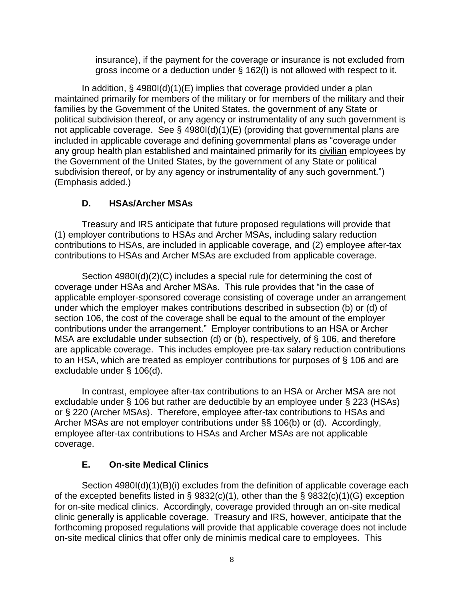insurance), if the payment for the coverage or insurance is not excluded from gross income or a deduction under § 162(l) is not allowed with respect to it.

In addition, § 4980I(d)(1)(E) implies that coverage provided under a plan maintained primarily for members of the military or for members of the military and their families by the Government of the United States, the government of any State or political subdivision thereof, or any agency or instrumentality of any such government is not applicable coverage. See § 4980I(d)(1)(E) (providing that governmental plans are included in applicable coverage and defining governmental plans as "coverage under any group health plan established and maintained primarily for its civilian employees by the Government of the United States, by the government of any State or political subdivision thereof, or by any agency or instrumentality of any such government.") (Emphasis added.)

### **D. HSAs/Archer MSAs**

Treasury and IRS anticipate that future proposed regulations will provide that (1) employer contributions to HSAs and Archer MSAs, including salary reduction contributions to HSAs, are included in applicable coverage, and (2) employee after-tax contributions to HSAs and Archer MSAs are excluded from applicable coverage.

Section 4980I(d)(2)(C) includes a special rule for determining the cost of coverage under HSAs and Archer MSAs. This rule provides that "in the case of applicable employer-sponsored coverage consisting of coverage under an arrangement under which the employer makes contributions described in subsection (b) or (d) of section 106, the cost of the coverage shall be equal to the amount of the employer contributions under the arrangement." Employer contributions to an HSA or Archer MSA are excludable under subsection (d) or (b), respectively, of § 106, and therefore are applicable coverage. This includes employee pre-tax salary reduction contributions to an HSA, which are treated as employer contributions for purposes of § 106 and are excludable under § 106(d).

In contrast, employee after-tax contributions to an HSA or Archer MSA are not excludable under § 106 but rather are deductible by an employee under § 223 (HSAs) or § 220 (Archer MSAs). Therefore, employee after-tax contributions to HSAs and Archer MSAs are not employer contributions under §§ 106(b) or (d). Accordingly, employee after-tax contributions to HSAs and Archer MSAs are not applicable coverage.

### **E. On-site Medical Clinics**

Section 4980I(d)(1)(B)(i) excludes from the definition of applicable coverage each of the excepted benefits listed in § 9832(c)(1), other than the § 9832(c)(1)(G) exception for on-site medical clinics. Accordingly, coverage provided through an on-site medical clinic generally is applicable coverage. Treasury and IRS, however, anticipate that the forthcoming proposed regulations will provide that applicable coverage does not include on-site medical clinics that offer only de minimis medical care to employees. This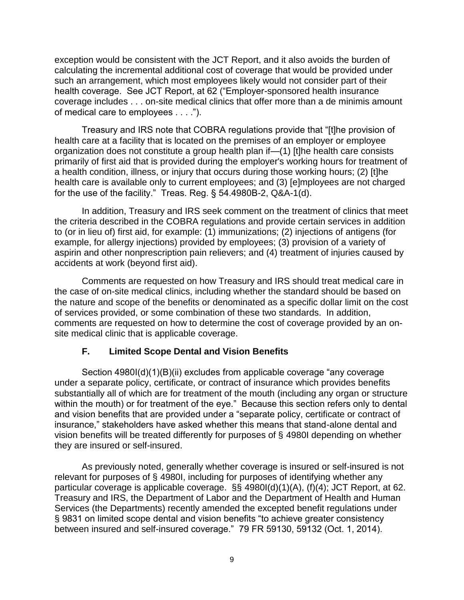exception would be consistent with the JCT Report, and it also avoids the burden of calculating the incremental additional cost of coverage that would be provided under such an arrangement, which most employees likely would not consider part of their health coverage. See JCT Report, at 62 ("Employer-sponsored health insurance coverage includes . . . on-site medical clinics that offer more than a de minimis amount of medical care to employees . . . .").

Treasury and IRS note that COBRA regulations provide that "[t]he provision of health care at a facility that is located on the premises of an employer or employee organization does not constitute a group health plan if—(1) [t]he health care consists primarily of first aid that is provided during the employer's working hours for treatment of a health condition, illness, or injury that occurs during those working hours; (2) [t]he health care is available only to current employees; and (3) [e]mployees are not charged for the use of the facility." Treas. Reg. § 54.4980B-2, Q&A-1(d).

In addition, Treasury and IRS seek comment on the treatment of clinics that meet the criteria described in the COBRA regulations and provide certain services in addition to (or in lieu of) first aid, for example: (1) immunizations; (2) injections of antigens (for example, for allergy injections) provided by employees; (3) provision of a variety of aspirin and other nonprescription pain relievers; and (4) treatment of injuries caused by accidents at work (beyond first aid).

Comments are requested on how Treasury and IRS should treat medical care in the case of on-site medical clinics, including whether the standard should be based on the nature and scope of the benefits or denominated as a specific dollar limit on the cost of services provided, or some combination of these two standards. In addition, comments are requested on how to determine the cost of coverage provided by an onsite medical clinic that is applicable coverage.

#### **F. Limited Scope Dental and Vision Benefits**

Section 4980I(d)(1)(B)(ii) excludes from applicable coverage "any coverage" under a separate policy, certificate, or contract of insurance which provides benefits substantially all of which are for treatment of the mouth (including any organ or structure within the mouth) or for treatment of the eye." Because this section refers only to dental and vision benefits that are provided under a "separate policy, certificate or contract of insurance," stakeholders have asked whether this means that stand-alone dental and vision benefits will be treated differently for purposes of § 4980I depending on whether they are insured or self-insured.

As previously noted, generally whether coverage is insured or self-insured is not relevant for purposes of § 4980I, including for purposes of identifying whether any particular coverage is applicable coverage. §§ 4980I(d)(1)(A), (f)(4); JCT Report, at 62. Treasury and IRS, the Department of Labor and the Department of Health and Human Services (the Departments) recently amended the excepted benefit regulations under § 9831 on limited scope dental and vision benefits "to achieve greater consistency between insured and self-insured coverage." 79 FR 59130, 59132 (Oct. 1, 2014).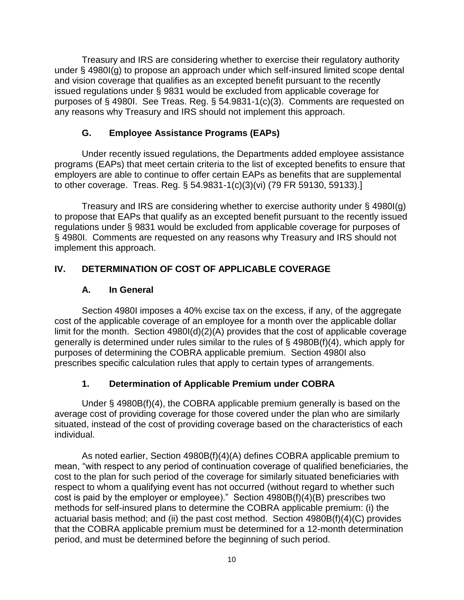Treasury and IRS are considering whether to exercise their regulatory authority under § 4980I(g) to propose an approach under which self-insured limited scope dental and vision coverage that qualifies as an excepted benefit pursuant to the recently issued regulations under § 9831 would be excluded from applicable coverage for purposes of § 4980I. See Treas. Reg. § 54.9831-1(c)(3). Comments are requested on any reasons why Treasury and IRS should not implement this approach.

### **G. Employee Assistance Programs (EAPs)**

Under recently issued regulations, the Departments added employee assistance programs (EAPs) that meet certain criteria to the list of excepted benefits to ensure that employers are able to continue to offer certain EAPs as benefits that are supplemental to other coverage. Treas. Reg. § 54.9831-1(c)(3)(vi) (79 FR 59130, 59133).]

Treasury and IRS are considering whether to exercise authority under § 4980I(g) to propose that EAPs that qualify as an excepted benefit pursuant to the recently issued regulations under § 9831 would be excluded from applicable coverage for purposes of § 4980I. Comments are requested on any reasons why Treasury and IRS should not implement this approach.

# **IV. DETERMINATION OF COST OF APPLICABLE COVERAGE**

### **A. In General**

Section 4980I imposes a 40% excise tax on the excess, if any, of the aggregate cost of the applicable coverage of an employee for a month over the applicable dollar limit for the month. Section 4980I(d)(2)(A) provides that the cost of applicable coverage generally is determined under rules similar to the rules of § 4980B(f)(4), which apply for purposes of determining the COBRA applicable premium. Section 4980I also prescribes specific calculation rules that apply to certain types of arrangements.

# **1. Determination of Applicable Premium under COBRA**

Under § 4980B(f)(4), the COBRA applicable premium generally is based on the average cost of providing coverage for those covered under the plan who are similarly situated, instead of the cost of providing coverage based on the characteristics of each individual.

As noted earlier, Section 4980B(f)(4)(A) defines COBRA applicable premium to mean, "with respect to any period of continuation coverage of qualified beneficiaries, the cost to the plan for such period of the coverage for similarly situated beneficiaries with respect to whom a qualifying event has not occurred (without regard to whether such cost is paid by the employer or employee)." Section  $\angle 4980B(f)(4)(B)$  prescribes two methods for self-insured plans to determine the COBRA applicable premium: (i) the actuarial basis method; and (ii) the past cost method. Section 4980B(f)(4)(C) provides that the COBRA applicable premium must be determined for a 12-month determination period, and must be determined before the beginning of such period.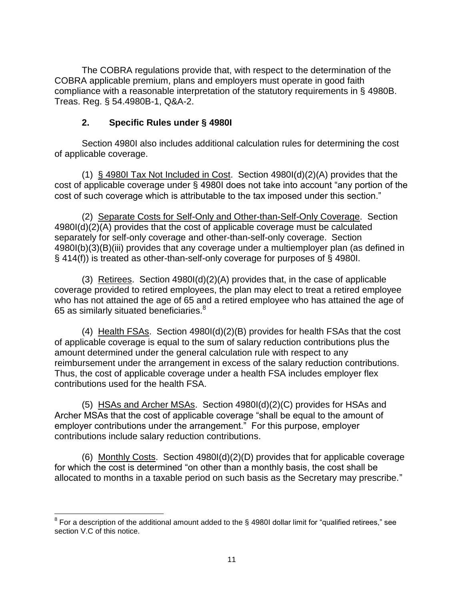The COBRA regulations provide that, with respect to the determination of the COBRA applicable premium, plans and employers must operate in good faith compliance with a reasonable interpretation of the statutory requirements in § 4980B. Treas. Reg. § 54.4980B-1, Q&A-2.

### **2. Specific Rules under § 4980I**

Section 4980I also includes additional calculation rules for determining the cost of applicable coverage.

(1) § 4980I Tax Not Included in Cost. Section 4980I(d)(2)(A) provides that the cost of applicable coverage under § 4980I does not take into account "any portion of the cost of such coverage which is attributable to the tax imposed under this section."

(2) Separate Costs for Self-Only and Other-than-Self-Only Coverage. Section 4980I(d)(2)(A) provides that the cost of applicable coverage must be calculated separately for self-only coverage and other-than-self-only coverage. Section 4980I(b)(3)(B)(iii) provides that any coverage under a multiemployer plan (as defined in § 414(f)) is treated as other-than-self-only coverage for purposes of § 4980I.

(3) Retirees. Section 4980I(d)(2)(A) provides that, in the case of applicable coverage provided to retired employees, the plan may elect to treat a retired employee who has not attained the age of 65 and a retired employee who has attained the age of 65 as similarly situated beneficiaries. $8$ 

(4) Health FSAs. Section 4980I(d)(2)(B) provides for health FSAs that the cost of applicable coverage is equal to the sum of salary reduction contributions plus the amount determined under the general calculation rule with respect to any reimbursement under the arrangement in excess of the salary reduction contributions. Thus, the cost of applicable coverage under a health FSA includes employer flex contributions used for the health FSA.

(5) HSAs and Archer MSAs. Section 4980I(d)(2)(C) provides for HSAs and Archer MSAs that the cost of applicable coverage "shall be equal to the amount of employer contributions under the arrangement." For this purpose, employer contributions include salary reduction contributions.

(6) Monthly Costs. Section 4980I(d)(2)(D) provides that for applicable coverage for which the cost is determined "on other than a monthly basis, the cost shall be allocated to months in a taxable period on such basis as the Secretary may prescribe."

l  $^8$  For a description of the additional amount added to the § 4980I dollar limit for "qualified retirees," see section V.C of this notice.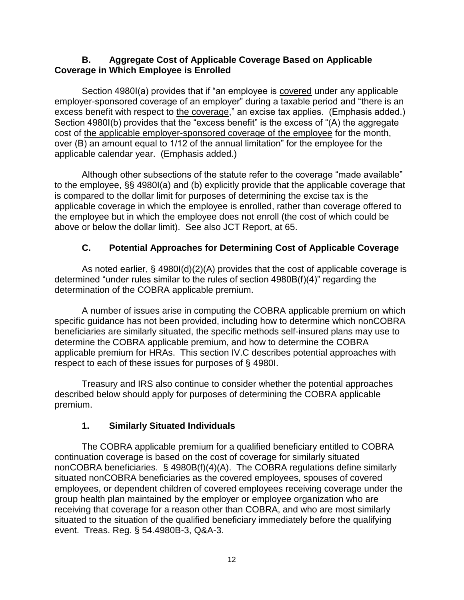#### **B. Aggregate Cost of Applicable Coverage Based on Applicable Coverage in Which Employee is Enrolled**

Section 4980I(a) provides that if "an employee is covered under any applicable employer-sponsored coverage of an employer" during a taxable period and "there is an excess benefit with respect to the coverage," an excise tax applies. (Emphasis added.) Section 4980I(b) provides that the "excess benefit" is the excess of "(A) the aggregate cost of the applicable employer-sponsored coverage of the employee for the month, over (B) an amount equal to 1/12 of the annual limitation" for the employee for the applicable calendar year. (Emphasis added.)

Although other subsections of the statute refer to the coverage "made available" to the employee, §§ 4980I(a) and (b) explicitly provide that the applicable coverage that is compared to the dollar limit for purposes of determining the excise tax is the applicable coverage in which the employee is enrolled, rather than coverage offered to the employee but in which the employee does not enroll (the cost of which could be above or below the dollar limit). See also JCT Report, at 65.

### **C. Potential Approaches for Determining Cost of Applicable Coverage**

As noted earlier, § 4980I(d)(2)(A) provides that the cost of applicable coverage is determined "under rules similar to the rules of section 4980B(f)(4)" regarding the determination of the COBRA applicable premium.

A number of issues arise in computing the COBRA applicable premium on which specific guidance has not been provided, including how to determine which nonCOBRA beneficiaries are similarly situated, the specific methods self-insured plans may use to determine the COBRA applicable premium, and how to determine the COBRA applicable premium for HRAs. This section IV.C describes potential approaches with respect to each of these issues for purposes of § 4980I.

Treasury and IRS also continue to consider whether the potential approaches described below should apply for purposes of determining the COBRA applicable premium.

### **1. Similarly Situated Individuals**

The COBRA applicable premium for a qualified beneficiary entitled to COBRA continuation coverage is based on the cost of coverage for similarly situated nonCOBRA beneficiaries. § 4980B(f)(4)(A). The COBRA regulations define similarly situated nonCOBRA beneficiaries as the covered employees, spouses of covered employees, or dependent children of covered employees receiving coverage under the group health plan maintained by the employer or employee organization who are receiving that coverage for a reason other than COBRA, and who are most similarly situated to the situation of the qualified beneficiary immediately before the qualifying event. Treas. Reg. § 54.4980B-3, Q&A-3.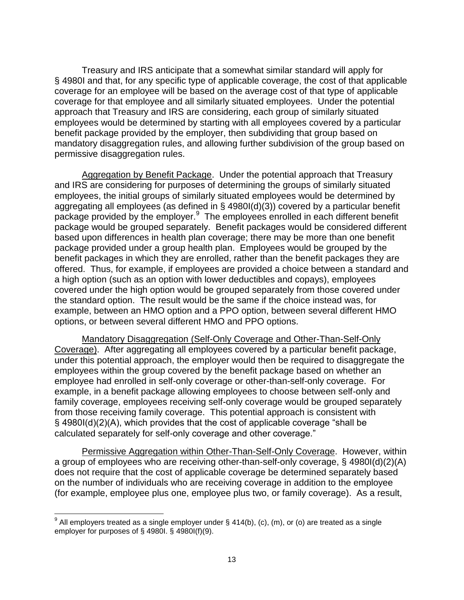Treasury and IRS anticipate that a somewhat similar standard will apply for § 4980I and that, for any specific type of applicable coverage, the cost of that applicable coverage for an employee will be based on the average cost of that type of applicable coverage for that employee and all similarly situated employees. Under the potential approach that Treasury and IRS are considering, each group of similarly situated employees would be determined by starting with all employees covered by a particular benefit package provided by the employer, then subdividing that group based on mandatory disaggregation rules, and allowing further subdivision of the group based on permissive disaggregation rules.

Aggregation by Benefit Package. Under the potential approach that Treasury and IRS are considering for purposes of determining the groups of similarly situated employees, the initial groups of similarly situated employees would be determined by aggregating all employees (as defined in § 4980I(d)(3)) covered by a particular benefit package provided by the employer.<sup>9</sup> The employees enrolled in each different benefit package would be grouped separately. Benefit packages would be considered different based upon differences in health plan coverage; there may be more than one benefit package provided under a group health plan. Employees would be grouped by the benefit packages in which they are enrolled, rather than the benefit packages they are offered. Thus, for example, if employees are provided a choice between a standard and a high option (such as an option with lower deductibles and copays), employees covered under the high option would be grouped separately from those covered under the standard option. The result would be the same if the choice instead was, for example, between an HMO option and a PPO option, between several different HMO options, or between several different HMO and PPO options.

Mandatory Disaggregation (Self-Only Coverage and Other-Than-Self-Only Coverage). After aggregating all employees covered by a particular benefit package, under this potential approach, the employer would then be required to disaggregate the employees within the group covered by the benefit package based on whether an employee had enrolled in self-only coverage or other-than-self-only coverage. For example, in a benefit package allowing employees to choose between self-only and family coverage, employees receiving self-only coverage would be grouped separately from those receiving family coverage. This potential approach is consistent with § 4980I(d)(2)(A), which provides that the cost of applicable coverage "shall be calculated separately for self-only coverage and other coverage."

Permissive Aggregation within Other-Than-Self-Only Coverage. However, within a group of employees who are receiving other-than-self-only coverage, § 4980I(d)(2)(A) does not require that the cost of applicable coverage be determined separately based on the number of individuals who are receiving coverage in addition to the employee (for example, employee plus one, employee plus two, or family coverage). As a result,

erd and the mode of the mode of the mode of the moder that the mode of the mode of the mode of the mode of the m<br>In the mand as a single single employer under § 414(b), (c), (m), or (o) are treated as a single the mode of employer for purposes of § 4980I. § 4980I(f)(9).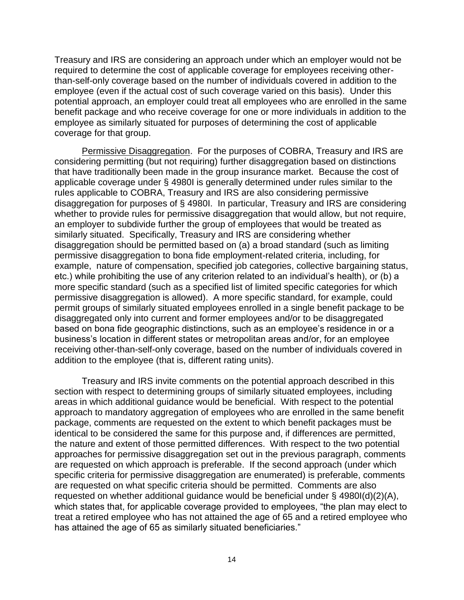Treasury and IRS are considering an approach under which an employer would not be required to determine the cost of applicable coverage for employees receiving otherthan-self-only coverage based on the number of individuals covered in addition to the employee (even if the actual cost of such coverage varied on this basis). Under this potential approach, an employer could treat all employees who are enrolled in the same benefit package and who receive coverage for one or more individuals in addition to the employee as similarly situated for purposes of determining the cost of applicable coverage for that group.

Permissive Disaggregation. For the purposes of COBRA, Treasury and IRS are considering permitting (but not requiring) further disaggregation based on distinctions that have traditionally been made in the group insurance market. Because the cost of applicable coverage under § 4980I is generally determined under rules similar to the rules applicable to COBRA, Treasury and IRS are also considering permissive disaggregation for purposes of § 4980I. In particular, Treasury and IRS are considering whether to provide rules for permissive disaggregation that would allow, but not require, an employer to subdivide further the group of employees that would be treated as similarly situated. Specifically, Treasury and IRS are considering whether disaggregation should be permitted based on (a) a broad standard (such as limiting permissive disaggregation to bona fide employment-related criteria, including, for example, nature of compensation, specified job categories, collective bargaining status, etc.) while prohibiting the use of any criterion related to an individual's health), or (b) a more specific standard (such as a specified list of limited specific categories for which permissive disaggregation is allowed). A more specific standard, for example, could permit groups of similarly situated employees enrolled in a single benefit package to be disaggregated only into current and former employees and/or to be disaggregated based on bona fide geographic distinctions, such as an employee's residence in or a business's location in different states or metropolitan areas and/or, for an employee receiving other-than-self-only coverage, based on the number of individuals covered in addition to the employee (that is, different rating units).

Treasury and IRS invite comments on the potential approach described in this section with respect to determining groups of similarly situated employees, including areas in which additional guidance would be beneficial. With respect to the potential approach to mandatory aggregation of employees who are enrolled in the same benefit package, comments are requested on the extent to which benefit packages must be identical to be considered the same for this purpose and, if differences are permitted, the nature and extent of those permitted differences. With respect to the two potential approaches for permissive disaggregation set out in the previous paragraph, comments are requested on which approach is preferable. If the second approach (under which specific criteria for permissive disaggregation are enumerated) is preferable, comments are requested on what specific criteria should be permitted. Comments are also requested on whether additional guidance would be beneficial under § 4980I(d)(2)(A), which states that, for applicable coverage provided to employees, "the plan may elect to treat a retired employee who has not attained the age of 65 and a retired employee who has attained the age of 65 as similarly situated beneficiaries."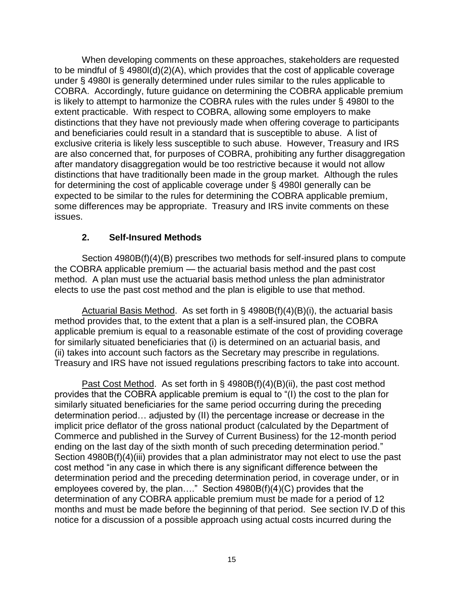When developing comments on these approaches, stakeholders are requested to be mindful of § 4980I(d)(2)(A), which provides that the cost of applicable coverage under § 4980I is generally determined under rules similar to the rules applicable to COBRA. Accordingly, future guidance on determining the COBRA applicable premium is likely to attempt to harmonize the COBRA rules with the rules under § 4980I to the extent practicable. With respect to COBRA, allowing some employers to make distinctions that they have not previously made when offering coverage to participants and beneficiaries could result in a standard that is susceptible to abuse. A list of exclusive criteria is likely less susceptible to such abuse. However, Treasury and IRS are also concerned that, for purposes of COBRA, prohibiting any further disaggregation after mandatory disaggregation would be too restrictive because it would not allow distinctions that have traditionally been made in the group market. Although the rules for determining the cost of applicable coverage under § 4980I generally can be expected to be similar to the rules for determining the COBRA applicable premium, some differences may be appropriate. Treasury and IRS invite comments on these issues.

#### **2. Self-Insured Methods**

Section 4980B(f)(4)(B) prescribes two methods for self-insured plans to compute the COBRA applicable premium — the actuarial basis method and the past cost method. A plan must use the actuarial basis method unless the plan administrator elects to use the past cost method and the plan is eligible to use that method.

Actuarial Basis Method. As set forth in § 4980B(f)(4)(B)(i), the actuarial basis method provides that, to the extent that a plan is a self-insured plan, the COBRA applicable premium is equal to a reasonable estimate of the cost of providing coverage for similarly situated beneficiaries that (i) is determined on an actuarial basis, and (ii) takes into account such factors as the Secretary may prescribe in regulations. Treasury and IRS have not issued regulations prescribing factors to take into account.

Past Cost Method. As set forth in § 4980B(f)(4)(B)(ii), the past cost method provides that the COBRA applicable premium is equal to "(I) the cost to the plan for similarly situated beneficiaries for the same period occurring during the preceding determination period… adjusted by (II) the percentage increase or decrease in the implicit price deflator of the gross national product (calculated by the Department of Commerce and published in the Survey of Current Business) for the 12-month period ending on the last day of the sixth month of such preceding determination period." Section 4980B(f)(4)(iii) provides that a plan administrator may not elect to use the past cost method "in any case in which there is any significant difference between the determination period and the preceding determination period, in coverage under, or in employees covered by, the plan…." Section 4980B(f)(4)(C) provides that the determination of any COBRA applicable premium must be made for a period of 12 months and must be made before the beginning of that period. See section IV.D of this notice for a discussion of a possible approach using actual costs incurred during the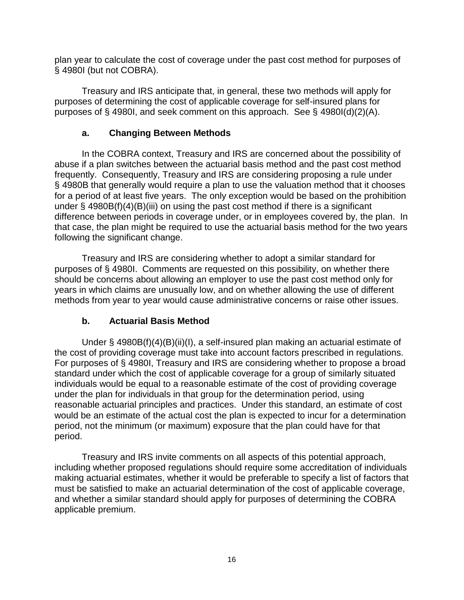plan year to calculate the cost of coverage under the past cost method for purposes of § 4980I (but not COBRA).

Treasury and IRS anticipate that, in general, these two methods will apply for purposes of determining the cost of applicable coverage for self-insured plans for purposes of § 4980I, and seek comment on this approach. See § 4980I(d)(2)(A).

### **a. Changing Between Methods**

In the COBRA context, Treasury and IRS are concerned about the possibility of abuse if a plan switches between the actuarial basis method and the past cost method frequently. Consequently, Treasury and IRS are considering proposing a rule under § 4980B that generally would require a plan to use the valuation method that it chooses for a period of at least five years. The only exception would be based on the prohibition under § 4980B(f)(4)(B)(iii) on using the past cost method if there is a significant difference between periods in coverage under, or in employees covered by, the plan. In that case, the plan might be required to use the actuarial basis method for the two years following the significant change.

Treasury and IRS are considering whether to adopt a similar standard for purposes of § 4980I. Comments are requested on this possibility, on whether there should be concerns about allowing an employer to use the past cost method only for years in which claims are unusually low, and on whether allowing the use of different methods from year to year would cause administrative concerns or raise other issues.

# **b. Actuarial Basis Method**

Under § 4980B(f)(4)(B)(ii)(I), a self-insured plan making an actuarial estimate of the cost of providing coverage must take into account factors prescribed in regulations. For purposes of § 4980I, Treasury and IRS are considering whether to propose a broad standard under which the cost of applicable coverage for a group of similarly situated individuals would be equal to a reasonable estimate of the cost of providing coverage under the plan for individuals in that group for the determination period, using reasonable actuarial principles and practices. Under this standard, an estimate of cost would be an estimate of the actual cost the plan is expected to incur for a determination period, not the minimum (or maximum) exposure that the plan could have for that period.

Treasury and IRS invite comments on all aspects of this potential approach, including whether proposed regulations should require some accreditation of individuals making actuarial estimates, whether it would be preferable to specify a list of factors that must be satisfied to make an actuarial determination of the cost of applicable coverage, and whether a similar standard should apply for purposes of determining the COBRA applicable premium.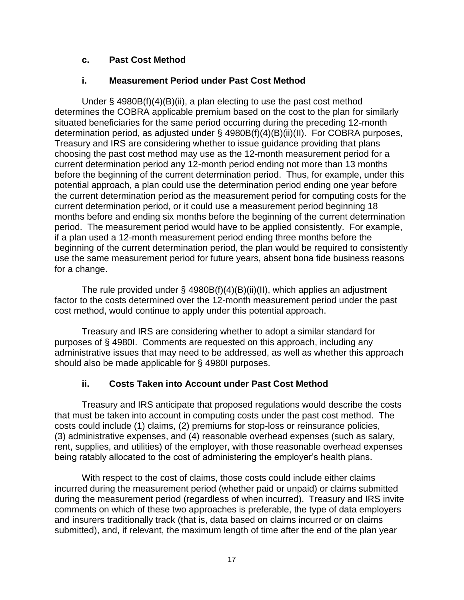### **c. Past Cost Method**

### **i. Measurement Period under Past Cost Method**

Under  $\S$  4980B(f)(4)(B)(ii), a plan electing to use the past cost method determines the COBRA applicable premium based on the cost to the plan for similarly situated beneficiaries for the same period occurring during the preceding 12-month determination period, as adjusted under § 4980B(f)(4)(B)(ii)(II). For COBRA purposes, Treasury and IRS are considering whether to issue guidance providing that plans choosing the past cost method may use as the 12-month measurement period for a current determination period any 12-month period ending not more than 13 months before the beginning of the current determination period. Thus, for example, under this potential approach, a plan could use the determination period ending one year before the current determination period as the measurement period for computing costs for the current determination period, or it could use a measurement period beginning 18 months before and ending six months before the beginning of the current determination period. The measurement period would have to be applied consistently. For example, if a plan used a 12-month measurement period ending three months before the beginning of the current determination period, the plan would be required to consistently use the same measurement period for future years, absent bona fide business reasons for a change.

The rule provided under  $\S$  4980B(f)(4)(B)(ii)(II), which applies an adjustment factor to the costs determined over the 12-month measurement period under the past cost method, would continue to apply under this potential approach.

Treasury and IRS are considering whether to adopt a similar standard for purposes of § 4980I. Comments are requested on this approach, including any administrative issues that may need to be addressed, as well as whether this approach should also be made applicable for § 4980I purposes.

### **ii. Costs Taken into Account under Past Cost Method**

Treasury and IRS anticipate that proposed regulations would describe the costs that must be taken into account in computing costs under the past cost method. The costs could include (1) claims, (2) premiums for stop-loss or reinsurance policies, (3) administrative expenses, and (4) reasonable overhead expenses (such as salary, rent, supplies, and utilities) of the employer, with those reasonable overhead expenses being ratably allocated to the cost of administering the employer's health plans.

With respect to the cost of claims, those costs could include either claims incurred during the measurement period (whether paid or unpaid) or claims submitted during the measurement period (regardless of when incurred). Treasury and IRS invite comments on which of these two approaches is preferable, the type of data employers and insurers traditionally track (that is, data based on claims incurred or on claims submitted), and, if relevant, the maximum length of time after the end of the plan year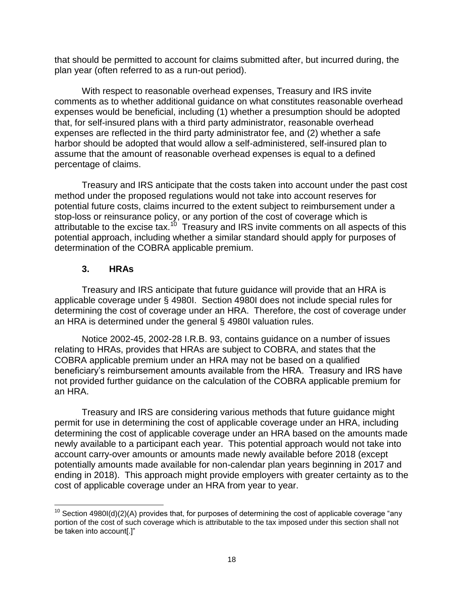that should be permitted to account for claims submitted after, but incurred during, the plan year (often referred to as a run-out period).

With respect to reasonable overhead expenses, Treasury and IRS invite comments as to whether additional guidance on what constitutes reasonable overhead expenses would be beneficial, including (1) whether a presumption should be adopted that, for self-insured plans with a third party administrator, reasonable overhead expenses are reflected in the third party administrator fee, and (2) whether a safe harbor should be adopted that would allow a self-administered, self-insured plan to assume that the amount of reasonable overhead expenses is equal to a defined percentage of claims.

Treasury and IRS anticipate that the costs taken into account under the past cost method under the proposed regulations would not take into account reserves for potential future costs, claims incurred to the extent subject to reimbursement under a stop-loss or reinsurance policy, or any portion of the cost of coverage which is attributable to the excise tax.<sup>10</sup> Treasury and IRS invite comments on all aspects of this potential approach, including whether a similar standard should apply for purposes of determination of the COBRA applicable premium.

### **3. HRAs**

Treasury and IRS anticipate that future guidance will provide that an HRA is applicable coverage under § 4980I. Section 4980I does not include special rules for determining the cost of coverage under an HRA. Therefore, the cost of coverage under an HRA is determined under the general § 4980I valuation rules.

Notice 2002-45, 2002-28 I.R.B. 93, contains guidance on a number of issues relating to HRAs, provides that HRAs are subject to COBRA, and states that the COBRA applicable premium under an HRA may not be based on a qualified beneficiary's reimbursement amounts available from the HRA. Treasury and IRS have not provided further guidance on the calculation of the COBRA applicable premium for an HRA.

Treasury and IRS are considering various methods that future guidance might permit for use in determining the cost of applicable coverage under an HRA, including determining the cost of applicable coverage under an HRA based on the amounts made newly available to a participant each year. This potential approach would not take into account carry-over amounts or amounts made newly available before 2018 (except potentially amounts made available for non-calendar plan years beginning in 2017 and ending in 2018). This approach might provide employers with greater certainty as to the cost of applicable coverage under an HRA from year to year.

 $\overline{\phantom{a}}$ <sup>10</sup> Section 4980I(d)(2)(A) provides that, for purposes of determining the cost of applicable coverage "any portion of the cost of such coverage which is attributable to the tax imposed under this section shall not be taken into account[.]"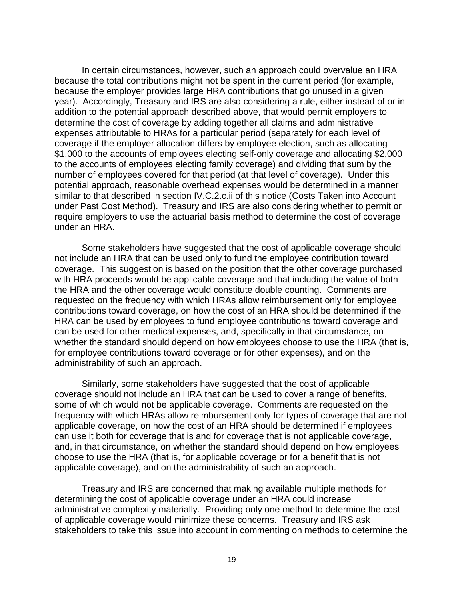In certain circumstances, however, such an approach could overvalue an HRA because the total contributions might not be spent in the current period (for example, because the employer provides large HRA contributions that go unused in a given year). Accordingly, Treasury and IRS are also considering a rule, either instead of or in addition to the potential approach described above, that would permit employers to determine the cost of coverage by adding together all claims and administrative expenses attributable to HRAs for a particular period (separately for each level of coverage if the employer allocation differs by employee election, such as allocating \$1,000 to the accounts of employees electing self-only coverage and allocating \$2,000 to the accounts of employees electing family coverage) and dividing that sum by the number of employees covered for that period (at that level of coverage). Under this potential approach, reasonable overhead expenses would be determined in a manner similar to that described in section IV.C.2.c.ii of this notice (Costs Taken into Account under Past Cost Method). Treasury and IRS are also considering whether to permit or require employers to use the actuarial basis method to determine the cost of coverage under an HRA.

Some stakeholders have suggested that the cost of applicable coverage should not include an HRA that can be used only to fund the employee contribution toward coverage. This suggestion is based on the position that the other coverage purchased with HRA proceeds would be applicable coverage and that including the value of both the HRA and the other coverage would constitute double counting. Comments are requested on the frequency with which HRAs allow reimbursement only for employee contributions toward coverage, on how the cost of an HRA should be determined if the HRA can be used by employees to fund employee contributions toward coverage and can be used for other medical expenses, and, specifically in that circumstance, on whether the standard should depend on how employees choose to use the HRA (that is, for employee contributions toward coverage or for other expenses), and on the administrability of such an approach.

Similarly, some stakeholders have suggested that the cost of applicable coverage should not include an HRA that can be used to cover a range of benefits, some of which would not be applicable coverage. Comments are requested on the frequency with which HRAs allow reimbursement only for types of coverage that are not applicable coverage, on how the cost of an HRA should be determined if employees can use it both for coverage that is and for coverage that is not applicable coverage, and, in that circumstance, on whether the standard should depend on how employees choose to use the HRA (that is, for applicable coverage or for a benefit that is not applicable coverage), and on the administrability of such an approach.

Treasury and IRS are concerned that making available multiple methods for determining the cost of applicable coverage under an HRA could increase administrative complexity materially. Providing only one method to determine the cost of applicable coverage would minimize these concerns. Treasury and IRS ask stakeholders to take this issue into account in commenting on methods to determine the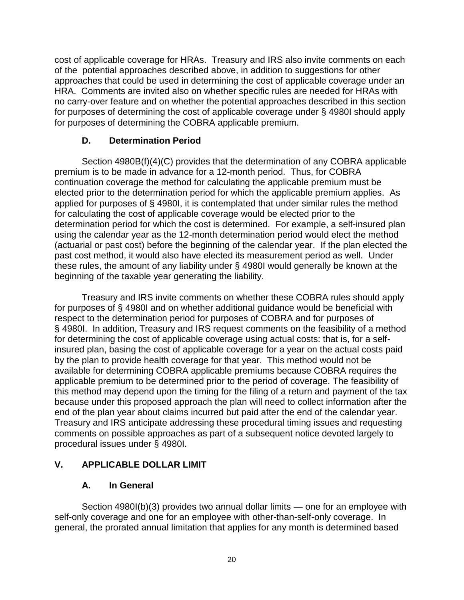cost of applicable coverage for HRAs. Treasury and IRS also invite comments on each of the potential approaches described above, in addition to suggestions for other approaches that could be used in determining the cost of applicable coverage under an HRA. Comments are invited also on whether specific rules are needed for HRAs with no carry-over feature and on whether the potential approaches described in this section for purposes of determining the cost of applicable coverage under § 4980I should apply for purposes of determining the COBRA applicable premium.

### **D. Determination Period**

Section 4980B(f)(4)(C) provides that the determination of any COBRA applicable premium is to be made in advance for a 12-month period. Thus, for COBRA continuation coverage the method for calculating the applicable premium must be elected prior to the determination period for which the applicable premium applies. As applied for purposes of § 4980I, it is contemplated that under similar rules the method for calculating the cost of applicable coverage would be elected prior to the determination period for which the cost is determined. For example, a self-insured plan using the calendar year as the 12-month determination period would elect the method (actuarial or past cost) before the beginning of the calendar year. If the plan elected the past cost method, it would also have elected its measurement period as well. Under these rules, the amount of any liability under § 4980I would generally be known at the beginning of the taxable year generating the liability.

Treasury and IRS invite comments on whether these COBRA rules should apply for purposes of § 4980I and on whether additional guidance would be beneficial with respect to the determination period for purposes of COBRA and for purposes of § 4980I. In addition, Treasury and IRS request comments on the feasibility of a method for determining the cost of applicable coverage using actual costs: that is, for a selfinsured plan, basing the cost of applicable coverage for a year on the actual costs paid by the plan to provide health coverage for that year. This method would not be available for determining COBRA applicable premiums because COBRA requires the applicable premium to be determined prior to the period of coverage. The feasibility of this method may depend upon the timing for the filing of a return and payment of the tax because under this proposed approach the plan will need to collect information after the end of the plan year about claims incurred but paid after the end of the calendar year. Treasury and IRS anticipate addressing these procedural timing issues and requesting comments on possible approaches as part of a subsequent notice devoted largely to procedural issues under § 4980I.

# **V. APPLICABLE DOLLAR LIMIT**

### **A. In General**

Section 4980I(b)(3) provides two annual dollar limits — one for an employee with self-only coverage and one for an employee with other-than-self-only coverage. In general, the prorated annual limitation that applies for any month is determined based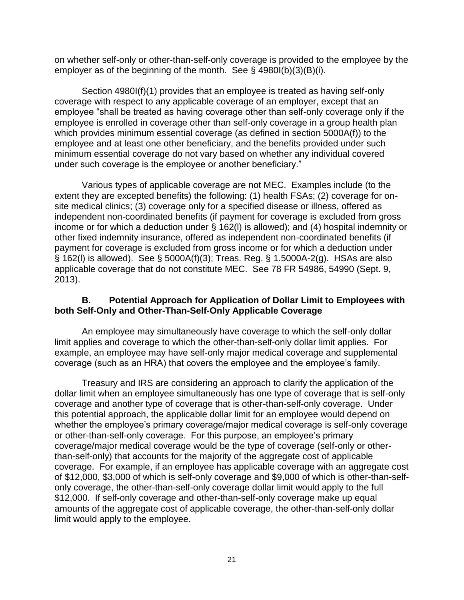on whether self-only or other-than-self-only coverage is provided to the employee by the employer as of the beginning of the month. See § 4980I(b)(3)(B)(i).

Section 4980I(f)(1) provides that an employee is treated as having self-only coverage with respect to any applicable coverage of an employer, except that an employee "shall be treated as having coverage other than self-only coverage only if the employee is enrolled in coverage other than self-only coverage in a group health plan which provides minimum essential coverage (as defined in section 5000A(f)) to the employee and at least one other beneficiary, and the benefits provided under such minimum essential coverage do not vary based on whether any individual covered under such coverage is the employee or another beneficiary."

Various types of applicable coverage are not MEC. Examples include (to the extent they are excepted benefits) the following: (1) health FSAs; (2) coverage for onsite medical clinics; (3) coverage only for a specified disease or illness, offered as independent non-coordinated benefits (if payment for coverage is excluded from gross income or for which a deduction under § 162(l) is allowed); and (4) hospital indemnity or other fixed indemnity insurance, offered as independent non-coordinated benefits (if payment for coverage is excluded from gross income or for which a deduction under § 162(l) is allowed). See § 5000A(f)(3); Treas. Reg. § 1.5000A-2(g). HSAs are also applicable coverage that do not constitute MEC. See 78 FR 54986, 54990 (Sept. 9, 2013).

#### **B. Potential Approach for Application of Dollar Limit to Employees with both Self-Only and Other-Than-Self-Only Applicable Coverage**

An employee may simultaneously have coverage to which the self-only dollar limit applies and coverage to which the other-than-self-only dollar limit applies. For example, an employee may have self-only major medical coverage and supplemental coverage (such as an HRA) that covers the employee and the employee's family.

Treasury and IRS are considering an approach to clarify the application of the dollar limit when an employee simultaneously has one type of coverage that is self-only coverage and another type of coverage that is other-than-self-only coverage. Under this potential approach, the applicable dollar limit for an employee would depend on whether the employee's primary coverage/major medical coverage is self-only coverage or other-than-self-only coverage. For this purpose, an employee's primary coverage/major medical coverage would be the type of coverage (self-only or otherthan-self-only) that accounts for the majority of the aggregate cost of applicable coverage. For example, if an employee has applicable coverage with an aggregate cost of \$12,000, \$3,000 of which is self-only coverage and \$9,000 of which is other-than-selfonly coverage, the other-than-self-only coverage dollar limit would apply to the full \$12,000. If self-only coverage and other-than-self-only coverage make up equal amounts of the aggregate cost of applicable coverage, the other-than-self-only dollar limit would apply to the employee.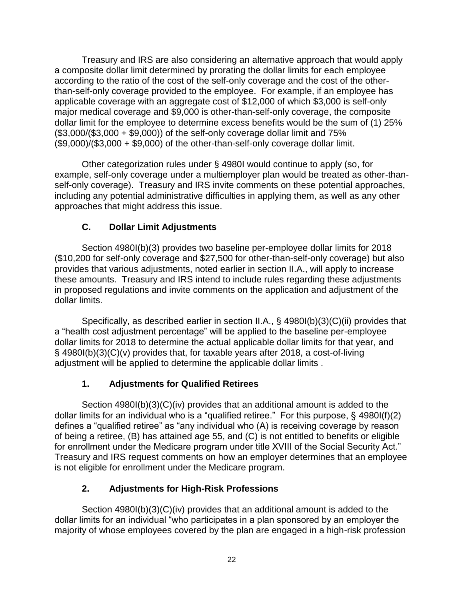Treasury and IRS are also considering an alternative approach that would apply a composite dollar limit determined by prorating the dollar limits for each employee according to the ratio of the cost of the self-only coverage and the cost of the otherthan-self-only coverage provided to the employee. For example, if an employee has applicable coverage with an aggregate cost of \$12,000 of which \$3,000 is self-only major medical coverage and \$9,000 is other-than-self-only coverage, the composite dollar limit for the employee to determine excess benefits would be the sum of (1) 25% (\$3,000/(\$3,000 + \$9,000)) of the self-only coverage dollar limit and 75%  $($9,000)/(\$3,000 + \$9,000)$  of the other-than-self-only coverage dollar limit.

Other categorization rules under § 4980I would continue to apply (so, for example, self-only coverage under a multiemployer plan would be treated as other-thanself-only coverage). Treasury and IRS invite comments on these potential approaches, including any potential administrative difficulties in applying them, as well as any other approaches that might address this issue.

# **C. Dollar Limit Adjustments**

Section 4980I(b)(3) provides two baseline per-employee dollar limits for 2018 (\$10,200 for self-only coverage and \$27,500 for other-than-self-only coverage) but also provides that various adjustments, noted earlier in section II.A., will apply to increase these amounts. Treasury and IRS intend to include rules regarding these adjustments in proposed regulations and invite comments on the application and adjustment of the dollar limits.

Specifically, as described earlier in section II.A., § 4980I(b)(3)(C)(ii) provides that a "health cost adjustment percentage" will be applied to the baseline per-employee dollar limits for 2018 to determine the actual applicable dollar limits for that year, and § 4980I(b)(3)(C)(v) provides that, for taxable years after 2018, a cost-of-living adjustment will be applied to determine the applicable dollar limits .

# **1. Adjustments for Qualified Retirees**

Section 4980I(b)(3)(C)(iv) provides that an additional amount is added to the dollar limits for an individual who is a "qualified retiree." For this purpose, § 4980I(f)(2) defines a "qualified retiree" as "any individual who (A) is receiving coverage by reason of being a retiree, (B) has attained age 55, and (C) is not entitled to benefits or eligible for enrollment under the Medicare program under title XVIII of the Social Security Act." Treasury and IRS request comments on how an employer determines that an employee is not eligible for enrollment under the Medicare program.

# **2. Adjustments for High-Risk Professions**

Section 4980I(b)(3)(C)(iv) provides that an additional amount is added to the dollar limits for an individual "who participates in a plan sponsored by an employer the majority of whose employees covered by the plan are engaged in a high-risk profession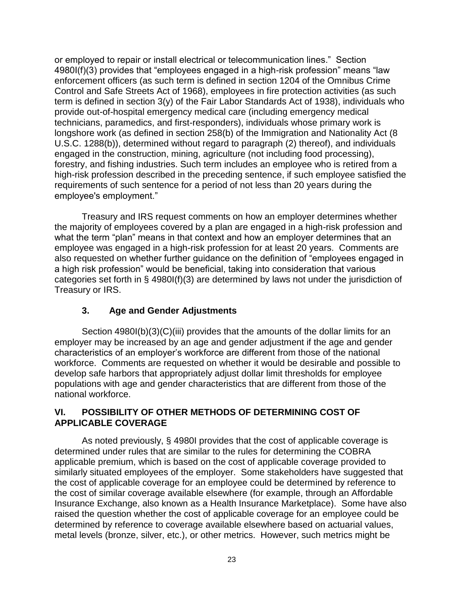or employed to repair or install electrical or telecommunication lines." Section 4980I(f)(3) provides that "employees engaged in a high-risk profession" means "law enforcement officers (as such term is defined in section 1204 of the Omnibus Crime Control and Safe Streets Act of 1968), employees in fire protection activities (as such term is defined in section 3(y) of the Fair Labor Standards Act of 1938), individuals who provide out-of-hospital emergency medical care (including emergency medical technicians, paramedics, and first-responders), individuals whose primary work is longshore work (as defined in section 258(b) of the Immigration and Nationality Act (8 U.S.C. 1288(b)), determined without regard to paragraph (2) thereof), and individuals engaged in the construction, mining, agriculture (not including food processing), forestry, and fishing industries. Such term includes an employee who is retired from a high-risk profession described in the preceding sentence, if such employee satisfied the requirements of such sentence for a period of not less than 20 years during the employee's employment."

Treasury and IRS request comments on how an employer determines whether the majority of employees covered by a plan are engaged in a high-risk profession and what the term "plan" means in that context and how an employer determines that an employee was engaged in a high-risk profession for at least 20 years. Comments are also requested on whether further guidance on the definition of "employees engaged in a high risk profession" would be beneficial, taking into consideration that various categories set forth in § 4980I(f)(3) are determined by laws not under the jurisdiction of Treasury or IRS.

### **3. Age and Gender Adjustments**

Section 4980I(b)(3)(C)(iii) provides that the amounts of the dollar limits for an employer may be increased by an age and gender adjustment if the age and gender characteristics of an employer's workforce are different from those of the national workforce. Comments are requested on whether it would be desirable and possible to develop safe harbors that appropriately adjust dollar limit thresholds for employee populations with age and gender characteristics that are different from those of the national workforce.

### **VI. POSSIBILITY OF OTHER METHODS OF DETERMINING COST OF APPLICABLE COVERAGE**

As noted previously, § 4980I provides that the cost of applicable coverage is determined under rules that are similar to the rules for determining the COBRA applicable premium, which is based on the cost of applicable coverage provided to similarly situated employees of the employer. Some stakeholders have suggested that the cost of applicable coverage for an employee could be determined by reference to the cost of similar coverage available elsewhere (for example, through an Affordable Insurance Exchange, also known as a Health Insurance Marketplace). Some have also raised the question whether the cost of applicable coverage for an employee could be determined by reference to coverage available elsewhere based on actuarial values, metal levels (bronze, silver, etc.), or other metrics. However, such metrics might be